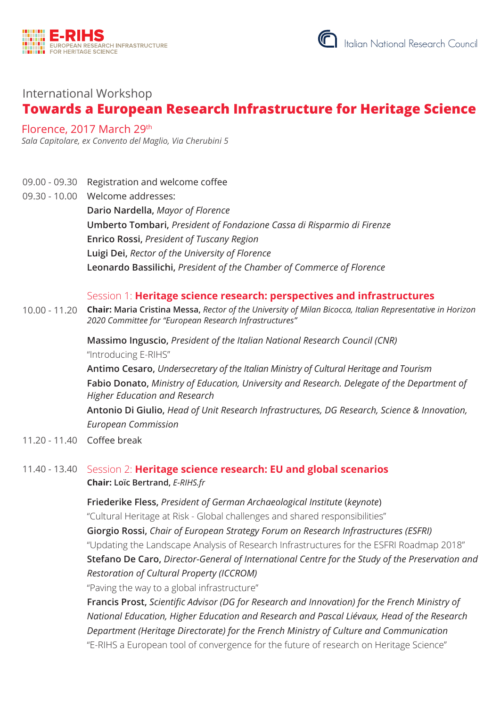



# International Workshop **Towards a European Research Infrastructure for Heritage Science**

## Florence, 2017 March 29th

*Sala Capitolare, ex Convento del Maglio, Via Cherubini 5*

- 09.00 09.30 Registration and welcome coffee
- 09.30 10.00 Welcome addresses:

**Dario Nardella,** *Mayor of Florence* **Umberto Tombari,** *President of Fondazione Cassa di Risparmio di Firenze* **Enrico Rossi,** *President of Tuscany Region* **Luigi Dei,** *Rector of the University of Florence* **Leonardo Bassilichi,** *President of the Chamber of Commerce of Florence*

#### Session 1: **Heritage science research: perspectives and infrastructures**

10.00 - 11.20 **Chair: Maria Cristina Messa,** *Rector of the University of Milan Bicocca, Italian Representative in Horizon 2020 Committee for "European Research Infrastructures"*

> **Massimo Inguscio,** *President of the Italian National Research Council (CNR)*  "Introducing E-RIHS"

**Antimo Cesaro,** *Undersecretary of the Italian Ministry of Cultural Heritage and Tourism* **Fabio Donato,** *Ministry of Education, University and Research. Delegate of the Department of Higher Education and Research*

**Antonio Di Giulio,** *Head of Unit Research Infrastructures, DG Research, Science & Innovation, European Commission*

11.20 - 11.40 Coffee break

### 11.40 - 13.40 Session 2: **Heritage science research: EU and global scenarios Chair: Loïc Bertrand,** *E-RIHS.fr*

**Friederike Fless,** *President of German Archaeological Institute* (*keynote*) "Cultural Heritage at Risk - Global challenges and shared responsibilities" **Giorgio Rossi,** *Chair of European Strategy Forum on Research Infrastructures (ESFRI)* "Updating the Landscape Analysis of Research Infrastructures for the ESFRI Roadmap 2018" **Stefano De Caro,** *Director-General of International Centre for the Study of the Preservation and Restoration of Cultural Property (ICCROM)*

"Paving the way to a global infrastructure"

**Francis Prost,** *Scientific Advisor (DG for Research and Innovation) for the French Ministry of National Education, Higher Education and Research and Pascal Liévaux, Head of the Research Department (Heritage Directorate) for the French Ministry of Culture and Communication*  "E-RIHS a European tool of convergence for the future of research on Heritage Science"